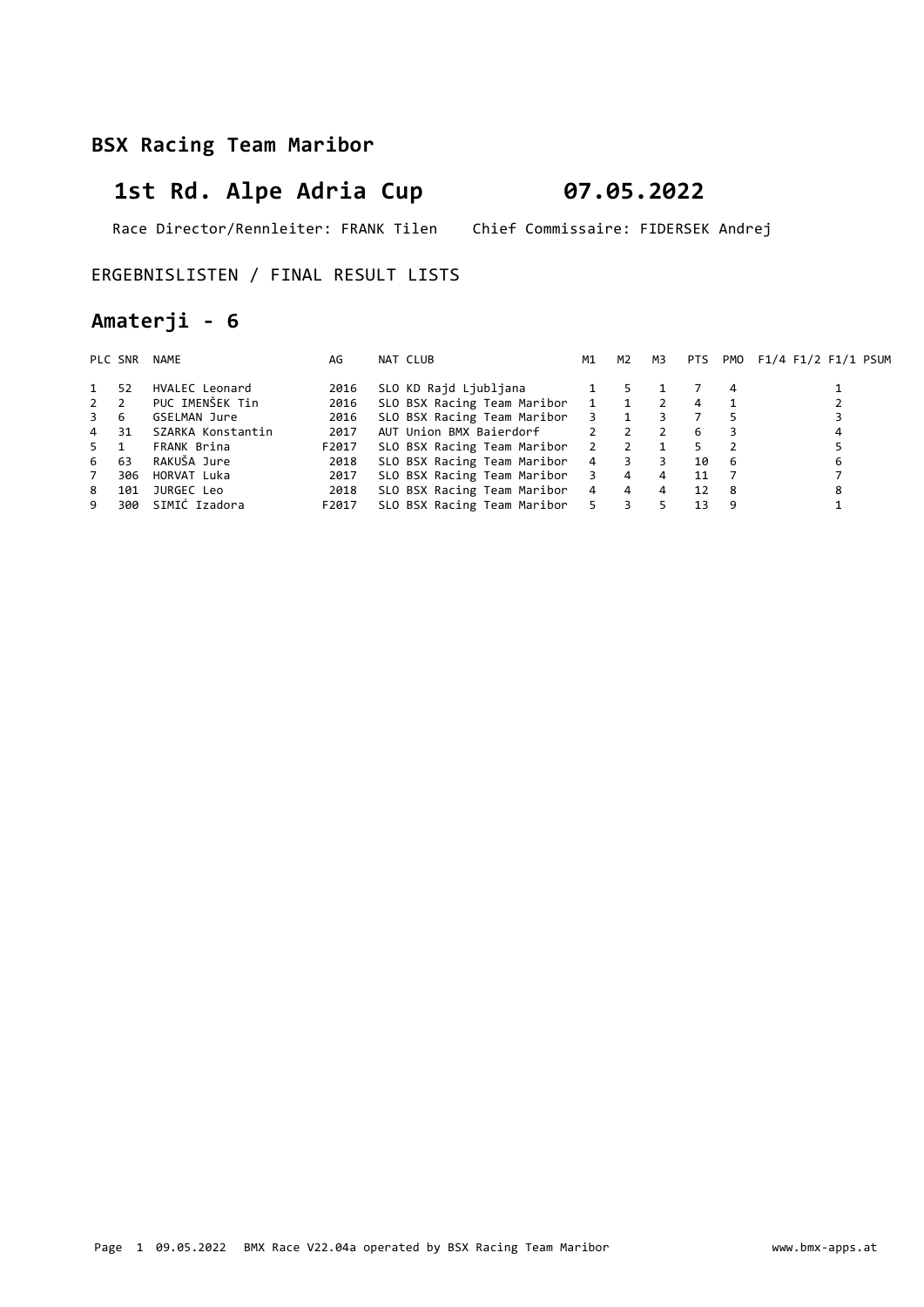# 1st Rd. Alpe Adria Cup 07.05.2022

Race Director/Rennleiter: FRANK Tilen Chief Commissaire: FIDERSEK Andrej

#### ERGEBNISLISTEN / FINAL RESULT LISTS

### Amaterji - 6

|             | PLC SNR | NAME              | AG    | NAT CLUB                        | M1                         | M2             | мз             |    |     | PTS PMO F1/4 F1/2 F1/1 PSUM |
|-------------|---------|-------------------|-------|---------------------------------|----------------------------|----------------|----------------|----|-----|-----------------------------|
| 1           | 52      | HVALEC Leonard    | 2016  | SLO KD Rajd Ljubljana           |                            |                |                |    | 4   |                             |
| $2 \quad 2$ |         | PUC IMENŠEK Tin   | 2016  | SLO BSX Racing Team Maribor 1 1 |                            |                |                | 4  |     |                             |
| 3 6         |         | GSELMAN Jure      | 2016  | SLO BSX Racing Team Maribor 3 1 |                            |                |                |    |     |                             |
| 4 31        |         | SZARKA Konstantin | 2017  | AUT Union BMX Baierdorf         | $\overline{\phantom{a}}$ 2 | $\overline{2}$ |                | 6  |     | 4                           |
| 5 1         |         | FRANK Brina       | F2017 | SLO BSX Racing Team Maribor 2 2 |                            |                |                | 5. |     |                             |
| 6           | 63      | RAKUŠA Jure       | 2018  | SLO BSX Racing Team Maribor 4 3 |                            |                | $\overline{3}$ | 10 | - 6 | 6                           |
| 7           | 306     | HORVAT Luka       | 2017  | SLO BSX Racing Team Maribor 3 4 |                            |                | 4              | 11 |     |                             |
| 8           | 101     | JURGEC Leo        | 2018  | SLO BSX Racing Team Maribor 4 4 |                            |                | $\overline{4}$ | 12 | - 8 | 8                           |
| 9           | 300     | SIMIĆ Izadora     | F2017 | SLO BSX Racing Team Maribor 5 3 |                            |                |                | 13 | 9   |                             |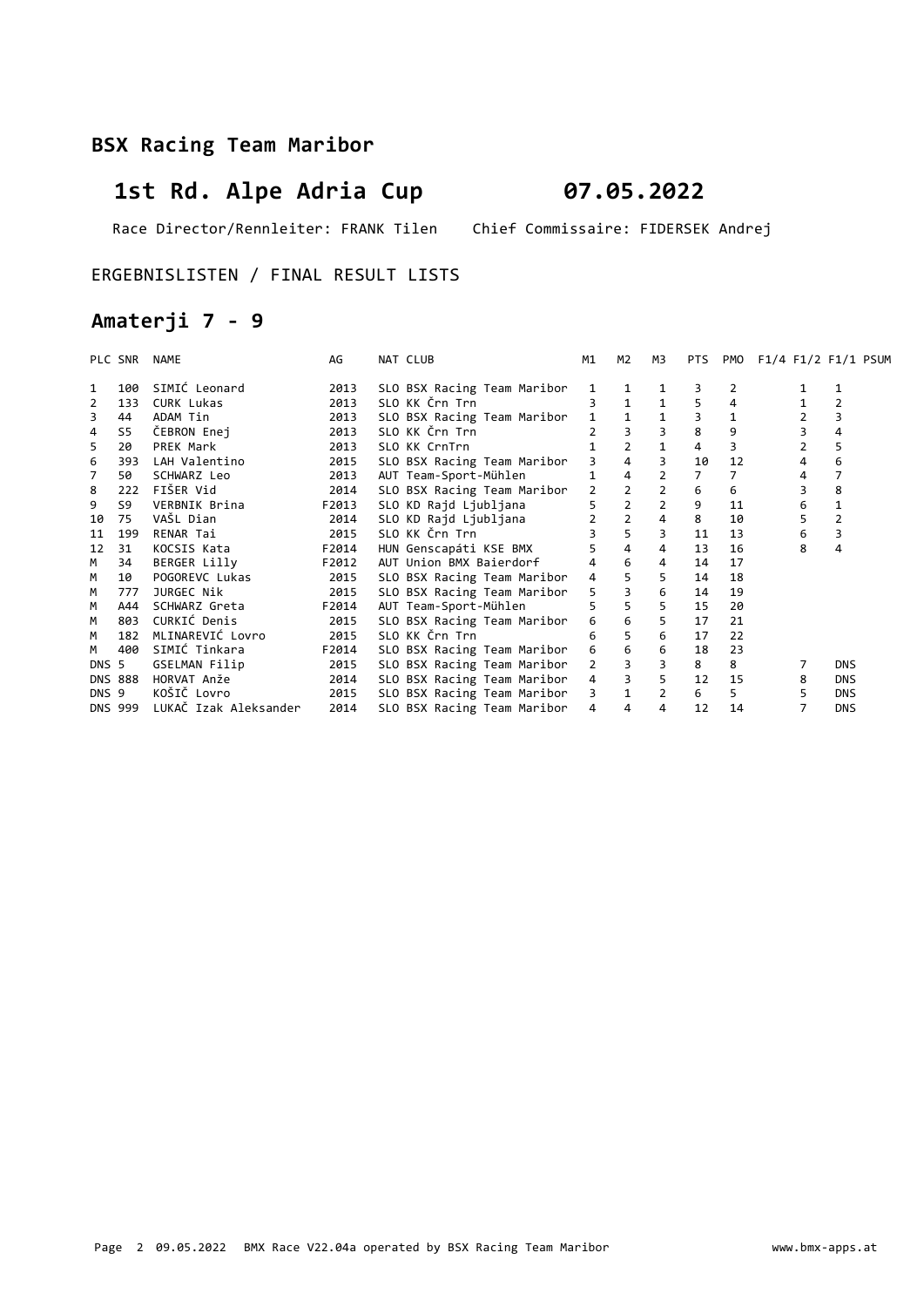# 1st Rd. Alpe Adria Cup 07.05.2022

Race Director/Rennleiter: FRANK Tilen Chief Commissaire: FIDERSEK Andrej

#### ERGEBNISLISTEN / FINAL RESULT LISTS

### Amaterji 7 - 9

|       | PLC SNR        | NAME                  | AG    | NAT CLUB                |                             | M1             | M2             | M3             | <b>PTS</b>     | PMO | F1/4 F1/2 F1/1 PSUM |                |  |
|-------|----------------|-----------------------|-------|-------------------------|-----------------------------|----------------|----------------|----------------|----------------|-----|---------------------|----------------|--|
| 1     | 100            | SIMIĆ Leonard         | 2013  |                         | SLO BSX Racing Team Maribor | 1              | 1              |                | 3              | 2   |                     |                |  |
| 2     | 133            | <b>CURK Lukas</b>     | 2013  | SLO KK Črn Trn          |                             |                |                |                |                | 4   |                     | 2              |  |
| 3     | 44             | ADAM Tin              | 2013  |                         | SLO BSX Racing Team Maribor |                |                |                | 3              | 1   |                     | 3              |  |
| 4     | S5             | ČEBRON Enej           | 2013  | SLO KK Črn Trn          |                             |                |                | $\overline{3}$ | 8              | 9   |                     | 4              |  |
| 5     | 20             | PREK Mark             | 2013  | SLO KK CrnTrn           |                             |                | $\overline{2}$ | $\mathbf{1}$   | 4              | 3   | 2                   | 5              |  |
| 6     | 393            | LAH Valentino         | 2015  |                         | SLO BSX Racing Team Maribor | 3              | 4              | 3              | 10             | 12  | 4                   | 6              |  |
| 7     | 50             | SCHWARZ Leo           | 2013  | AUT Team-Sport-Mühlen   |                             | 1              | 4              | $\overline{2}$ | $\overline{7}$ | 7   | 4                   | $\overline{7}$ |  |
| 8     | 222            | FIŠER Vid             | 2014  |                         | SLO BSX Racing Team Maribor | $\overline{2}$ |                | $\overline{2}$ | 6              | 6   |                     | 8              |  |
| 9     | S9             | VERBNIK Brina         | F2013 | SLO KD Rajd Ljubljana   |                             | 5.             | $\overline{2}$ | $\overline{2}$ | 9              | 11  | 6                   | $\mathbf{1}$   |  |
| 10    | 75             | VAŠL Dian             | 2014  | SLO KD Rajd Ljubljana   |                             | $\overline{2}$ | $\overline{2}$ | $\overline{4}$ | 8              | 10  | 5                   | $\overline{2}$ |  |
| 11    | 199            | RENAR Tai             | 2015  | SLO KK Črn Trn          |                             | $\overline{3}$ | $\overline{5}$ | 3              | 11             | 13  | 6                   | 3              |  |
| 12    | 31             | KOCSIS Kata           | F2014 | HUN Genscapáti KSE BMX  |                             | 5              | $\overline{4}$ | 4              | 13             | 16  | 8                   | 4              |  |
| М     | 34             | BERGER Lilly          | F2012 | AUT Union BMX Baierdorf |                             | 4              | 6              | 4              | 14             | 17  |                     |                |  |
| M     | 10             | POGOREVC Lukas        | 2015  |                         | SLO BSX Racing Team Maribor | 4              |                | 5              | 14             | 18  |                     |                |  |
| М     | 777            | JURGEC Nik            | 2015  |                         | SLO BSX Racing Team Maribor | 5              | $\overline{3}$ | 6              | 14             | 19  |                     |                |  |
| M     | A44            | SCHWARZ Greta         | F2014 | AUT Team-Sport-Mühlen   |                             | 5              |                | 5              | 15             | 20  |                     |                |  |
| M     | 803            | CURKIĆ Denis          | 2015  |                         | SLO BSX Racing Team Maribor | 6              | 6              | 5              | 17             | 21  |                     |                |  |
| M     | 182            | MLINAREVIĆ Lovro      | 2015  | SLO KK Črn Trn          |                             | 6              |                | 6              | 17             | 22  |                     |                |  |
| М     | 400            | SIMIĆ Tinkara         | F2014 |                         | SLO BSX Racing Team Maribor | 6              | 6              | 6              | 18             | 23  |                     |                |  |
| DNS 5 |                | GSELMAN Filip         | 2015  |                         | SLO BSX Racing Team Maribor | 2              |                | 3              | 8              | 8   |                     | <b>DNS</b>     |  |
|       | <b>DNS 888</b> | HORVAT Anže           | 2014  |                         | SLO BSX Racing Team Maribor | $\overline{4}$ | $\overline{3}$ | 5 <sup>5</sup> | 12             | 15  | 8                   | <b>DNS</b>     |  |
| DNS 9 |                | KOŠIČ Lovro           | 2015  |                         | SLO BSX Racing Team Maribor | $\overline{3}$ | $\mathbf 1$    | $\overline{2}$ | 6              | 5   | 5                   | <b>DNS</b>     |  |
|       | DNS 999        | LUKAČ Izak Aleksander | 2014  |                         | SLO BSX Racing Team Maribor | 4              | 4              | 4              | 12             | 14  |                     | <b>DNS</b>     |  |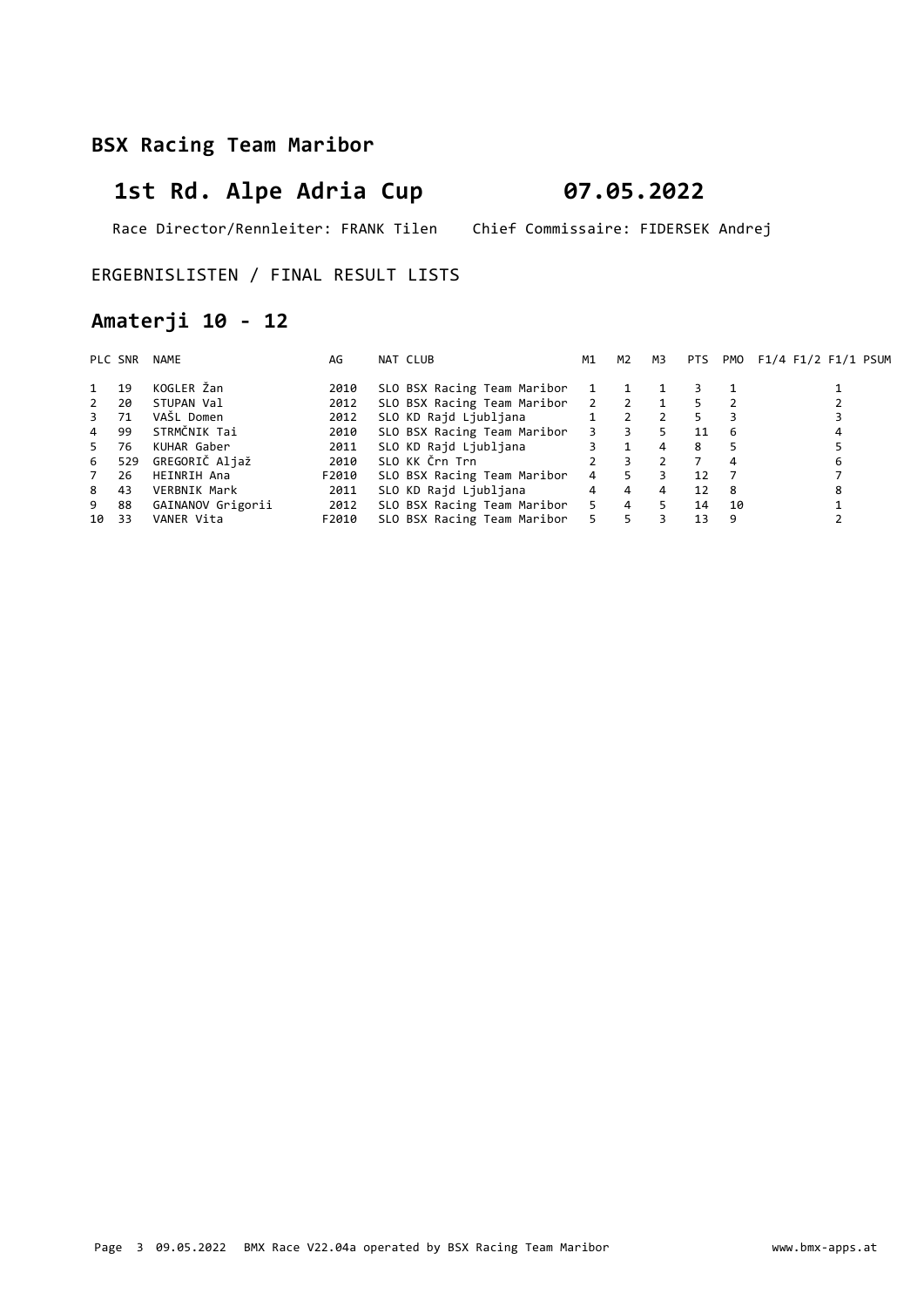# 1st Rd. Alpe Adria Cup 07.05.2022

Race Director/Rennleiter: FRANK Tilen Chief Commissaire: FIDERSEK Andrej

#### ERGEBNISLISTEN / FINAL RESULT LISTS

### Amaterji 10 - 12

|                | PLC SNR | NAME              | AG    | NAT CLUB                    | M1                      | M2             | M3           | <b>PTS</b> |    | PMO F1/4 F1/2 F1/1 PSUM |
|----------------|---------|-------------------|-------|-----------------------------|-------------------------|----------------|--------------|------------|----|-------------------------|
|                | 19      | KOGLER Žan        | 2010  | SLO BSX Racing Team Maribor | 1                       |                |              |            |    |                         |
| $\overline{2}$ | 20      | STUPAN Val        | 2012  | SLO BSX Racing Team Maribor | $\overline{\mathbf{2}}$ | $\overline{2}$ | $\mathbf{1}$ | 5.         |    |                         |
| 3 71           |         | VAŠL Domen        | 2012  | SLO KD Rajd Ljubljana       | 1                       | 2              | 2            | 5.         |    |                         |
| $\overline{4}$ | 99      | STRMČNIK Tai      | 2010  | SLO BSX Racing Team Maribor | $3^{\circ}$             | $\overline{3}$ | 5.           | 11         | 6  |                         |
| 5              | 76      | KUHAR Gaber       | 2011  | SLO KD Rajd Ljubljana       |                         |                | 4            | 8          |    |                         |
| 6              | 529     | GREGORIČ Aljaž    | 2010  | SLO KK Črn Trn              | $\overline{2}$          | 3              |              |            | 4  | 6                       |
| 7              | 26      | HEINRIH Ana       | F2010 | SLO BSX Racing Team Maribor | 4                       | 5              |              | 12         |    |                         |
| 8              | 43      | VERBNIK Mark      | 2011  | SLO KD Rajd Ljubljana       | $\overline{4}$          | $\overline{4}$ | 4            | 12         | -8 | 8                       |
| 9              | 88      | GAINANOV Grigorii | 2012  | SLO BSX Racing Team Maribor | 5                       | $\overline{4}$ | 5.           | 14         | 10 |                         |
| 10 33          |         | VANER Vita        | F2010 | SLO BSX Racing Team Maribor | 5.                      | 5              |              | 13         | 9  |                         |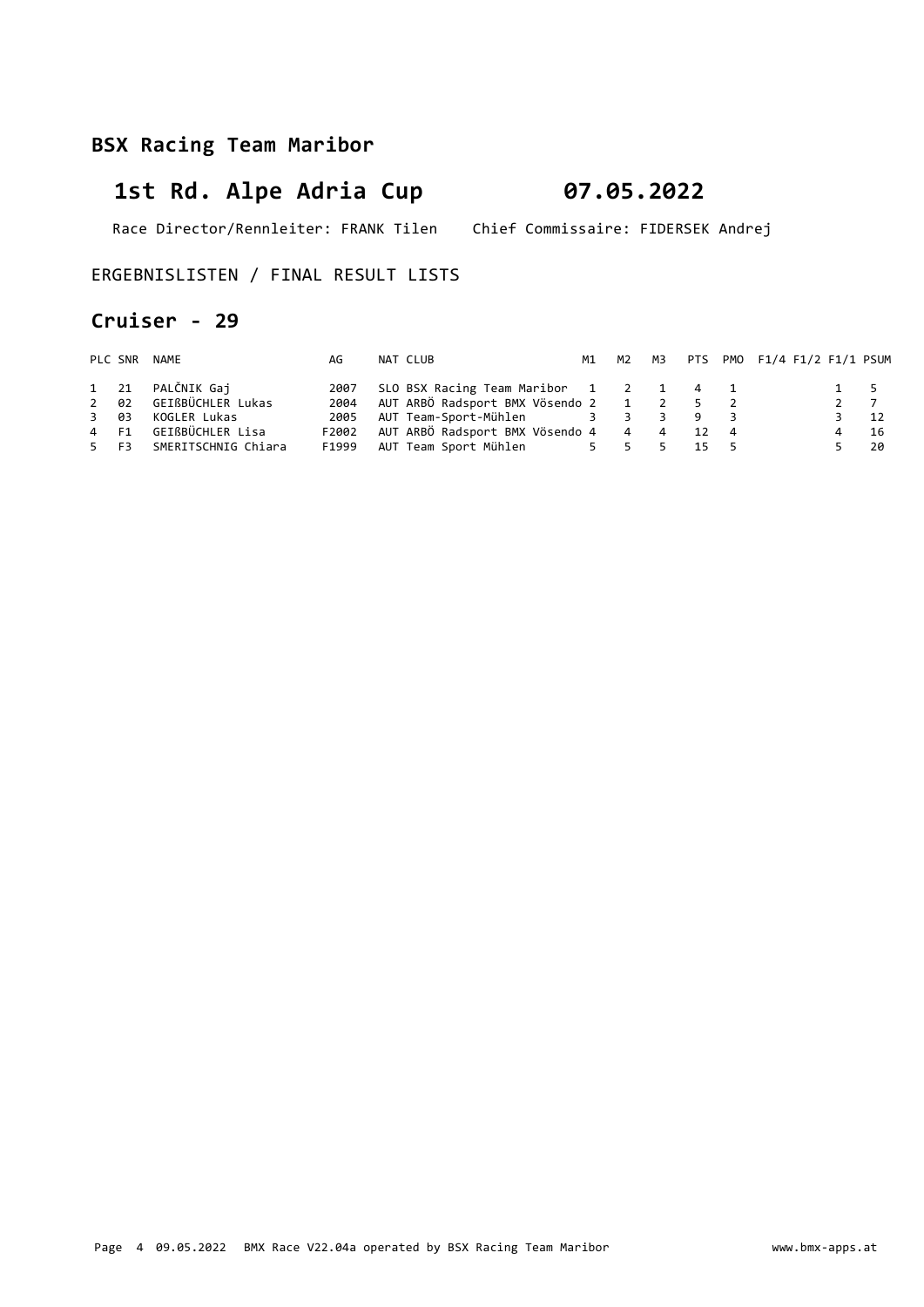# 1st Rd. Alpe Adria Cup 07.05.2022

Race Director/Rennleiter: FRANK Tilen Chief Commissaire: FIDERSEK Andrej

ERGEBNISLISTEN / FINAL RESULT LISTS

#### Cruiser - 29

|      | PLC SNR NAME             | AG    | NAT CLUB                                 |  |      | M1 M2 M3 PTS PM0 F1/4 F1/2 F1/1 PSUM |           |
|------|--------------------------|-------|------------------------------------------|--|------|--------------------------------------|-----------|
|      | 1 21 PALČNIK Gaj         | 2007  | SLO BSX Racing Team Maribor 1 2 1 4 1    |  |      |                                      | 1 5       |
|      | 2 02 GEIßBÜCHLER Lukas   | 2004  | AUT ARBÖ Radsport BMX Vösendo 2 1 2 5 2  |  |      |                                      | 2 7       |
| 3 03 | KOGLER Lukas             | 2005  | AUT Team-Sport-Mühlen 3 3 3 9 3          |  |      |                                      | $3 \t 12$ |
|      | 4 F1 GEIßBÜCHLER Lisa    | F2002 | AUT ARBÖ Radsport BMX Vösendo 4 4 4 12 4 |  |      |                                      | - 16      |
|      | 5 F3 SMERITSCHNIG Chiara | F1999 | AUT Team Sport Mühlen 5 5 5 5            |  | 15 5 |                                      | -20       |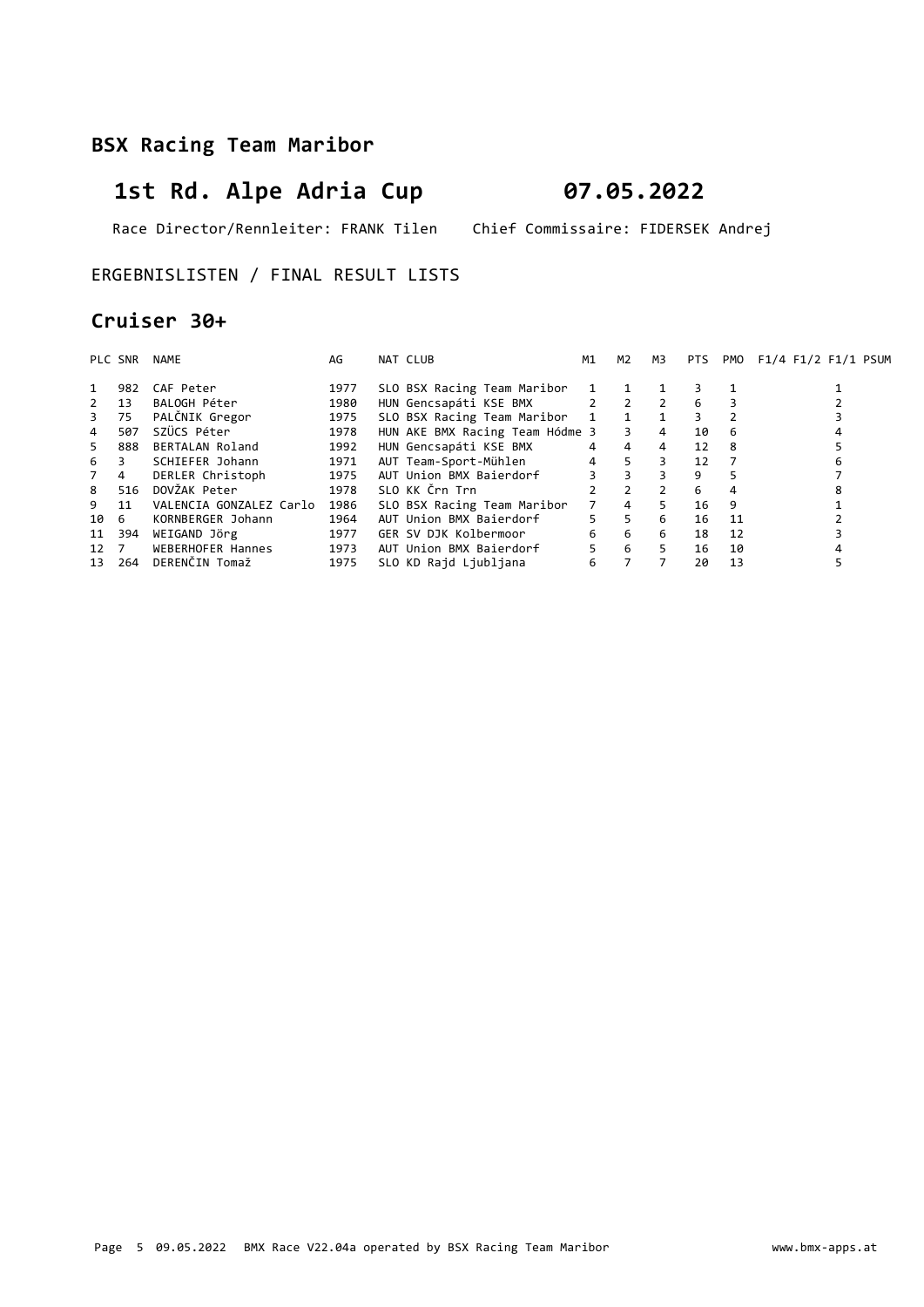# 1st Rd. Alpe Adria Cup 07.05.2022

Race Director/Rennleiter: FRANK Tilen Chief Commissaire: FIDERSEK Andrej

ERGEBNISLISTEN / FINAL RESULT LISTS

#### Cruiser 30+

|                | PLC SNR | NAME                    | AG   | NAT CLUB       |                                 | M1              | M2             | мз            | PTS. | PMO            | F1/4 F1/2 F1/1 PSUM |
|----------------|---------|-------------------------|------|----------------|---------------------------------|-----------------|----------------|---------------|------|----------------|---------------------|
|                | 982     | CAF Peter               | 1977 |                | SLO BSX Racing Team Maribor     | $\mathbf{1}$    |                |               |      |                |                     |
| $2^{\circ}$    | 13      | BALOGH Péter            | 1980 |                | HUN Gencsapáti KSE BMX          |                 | $2 \t2 \t2$    |               | 6    |                |                     |
| 3              | 75      | PALČNIK Gregor          | 1975 |                | SLO BSX Racing Team Maribor     |                 | 1 1            |               | 3    |                |                     |
| $\overline{4}$ | 507     | SZÜCS Péter             | 1978 |                | HUN AKE BMX Racing Team Hódme 3 |                 | $\overline{3}$ | 4             | 10   | 6              |                     |
| 5.             | 888     | BERTALAN Roland         | 1992 |                | HUN Gencsapáti KSE BMX          | $4\overline{ }$ | $\overline{4}$ | 4             | 12   | -8             |                     |
| 6              | 3       | SCHIEFER Johann         | 1971 |                | AUT Team-Sport-Mühlen           | $4 \quad$       | 5 <sup>7</sup> | 3             | 12   | $\overline{7}$ |                     |
| 7 4            |         | DERLER Christoph        | 1975 |                | AUT Union BMX Baierdorf         |                 | $3^{\circ}$    | 3             | 9    | 5              |                     |
| 8              | 516     | DOVŽAK Peter            | 1978 | SLO KK Črn Trn |                                 | $\mathcal{P}$   | $\overline{2}$ | $\mathcal{P}$ | 6    | 4              |                     |
| 9              | 11      | VALENCIA GONZALEZ Carlo | 1986 |                | SLO BSX Racing Team Maribor     | $7^{\circ}$     | $\overline{4}$ | 5.            | 16   | 9              |                     |
| 10 6           |         | KORNBERGER Johann       | 1964 |                | AUT Union BMX Baierdorf         | 5               | 5 <sup>5</sup> | 6             | 16   | 11             |                     |
| 11             | 394     | WEIGAND Jörg            | 1977 |                | GER SV DJK Kolbermoor           | 6               | 6              | 6             | 18   | 12             |                     |
| 12 7           |         | WEBERHOFER Hannes       | 1973 |                | AUT Union BMX Baierdorf         | 5               | 6              | 5.            | 16   | 10             |                     |
| 13             | 264     | DERENČIN Tomaž          | 1975 |                | SLO KD Rajd Ljubljana           | 6               |                |               | 20   | 13             |                     |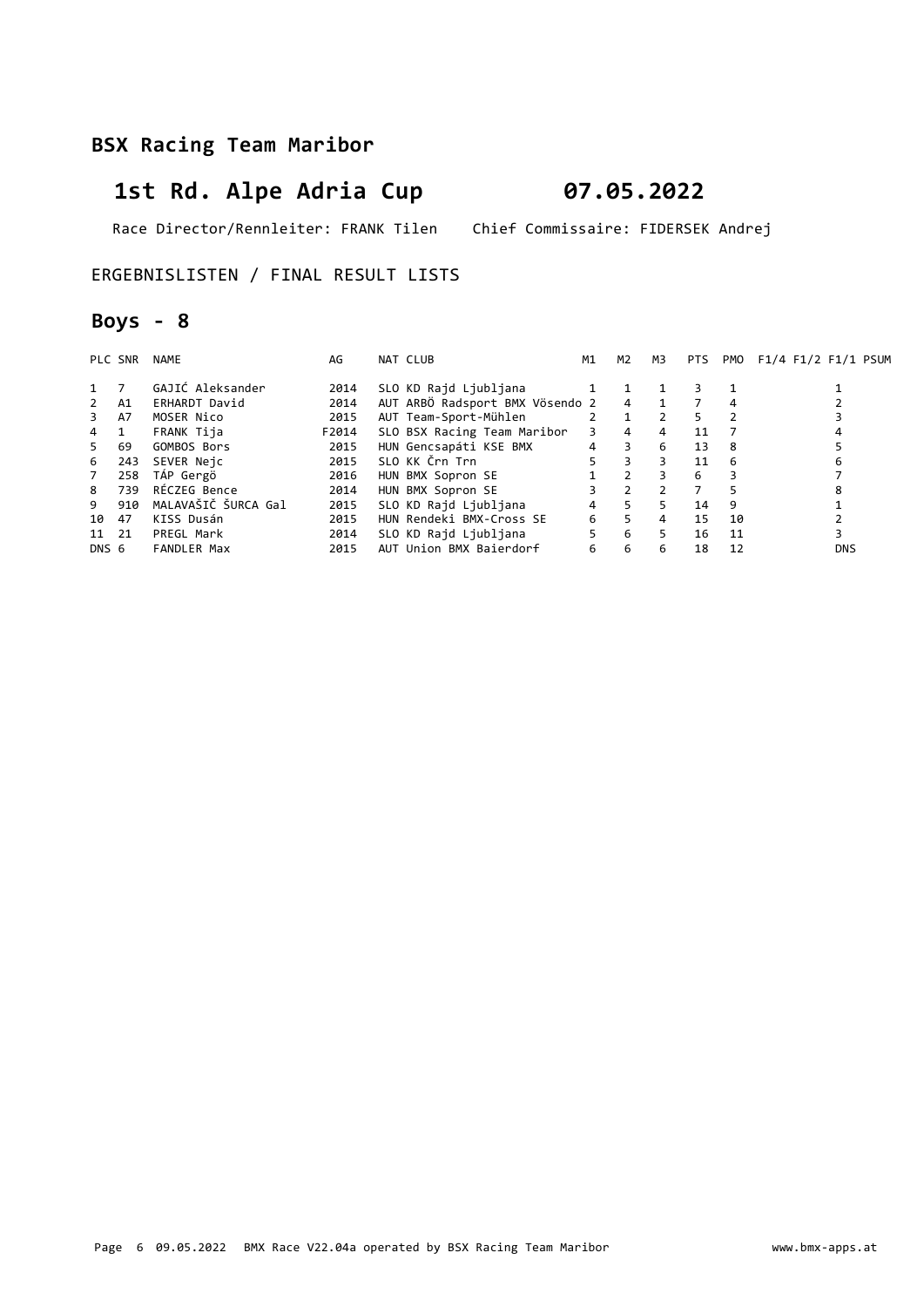# 1st Rd. Alpe Adria Cup 07.05.2022

Race Director/Rennleiter: FRANK Tilen Chief Commissaire: FIDERSEK Andrej

ERGEBNISLISTEN / FINAL RESULT LISTS

### Boys - 8

|             | PLC SNR | NAME                | AG    | NAT CLUB                        | M1 | M2             | мз             | PTS |    | PMO F1/4 F1/2 F1/1 PSUM |
|-------------|---------|---------------------|-------|---------------------------------|----|----------------|----------------|-----|----|-------------------------|
| 1           | 7       | GAJIĆ Aleksander    | 2014  | SLO KD Rajd Ljubljana           |    |                |                |     |    |                         |
| $2^{\circ}$ | A1      | ERHARDT David       | 2014  | AUT ARBÖ Radsport BMX Vösendo 2 |    | $\overline{4}$ | $\overline{1}$ |     | 4  |                         |
| 3           | A7      | MOSER Nico          | 2015  | AUT Team-Sport-Mühlen           |    |                | $\overline{2}$ | 5   |    |                         |
| $4 \quad 1$ |         | FRANK Tija          | F2014 | SLO BSX Racing Team Maribor     | 3  | $\overline{4}$ | 4              | 11  |    |                         |
| 5           | 69      | GOMBOS Bors         | 2015  | HUN Gencsapáti KSE BMX          | 4  | 3              | 6              | 13  | -8 |                         |
| 6           | 243     | SEVER Neic          | 2015  | SLO KK Črn Trn                  | 5  | $\overline{3}$ | 3              | 11  | 6  | 6                       |
| 7           | 258     | TÁP Gergö           | 2016  | HUN BMX Sopron SE               |    | $\overline{2}$ | 3              | 6   | 3  |                         |
| 8           | 739     | RÉCZEG Bence        | 2014  | HUN BMX Sopron SE               |    | 2              |                |     | 5  | 8                       |
| 9           | 910     | MALAVAŠIČ ŠURCA Gal | 2015  | SLO KD Rajd Ljubljana           | 4  | 5              | 5.             | 14  | 9  |                         |
| 10          | 47      | KISS Dusán          | 2015  | HUN Rendeki BMX-Cross SE        | 6  | 5              | 4              | 15  | 10 |                         |
| 11 21       |         | PREGL Mark          | 2014  | SLO KD Rajd Ljubljana           | 5  | 6              | 5.             | 16  | 11 |                         |
| DNS 6       |         | <b>FANDLER Max</b>  | 2015  | AUT Union BMX Baierdorf         | 6  | 6              | 6              | 18  | 12 | <b>DNS</b>              |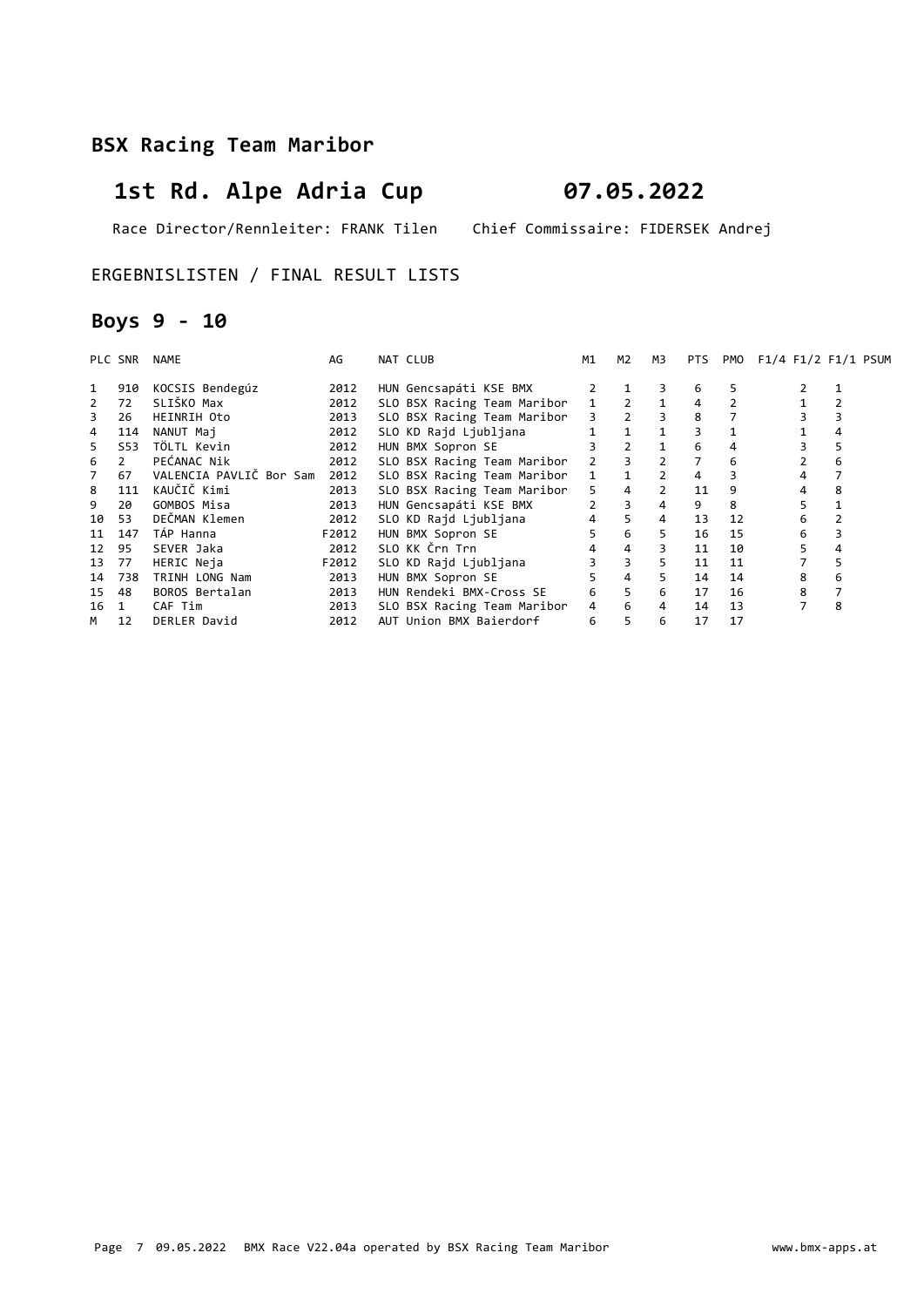# 1st Rd. Alpe Adria Cup 07.05.2022

Race Director/Rennleiter: FRANK Tilen Chief Commissaire: FIDERSEK Andrej

ERGEBNISLISTEN / FINAL RESULT LISTS

### Boys 9 - 10

|    | PLC SNR        | NAME                    | AG    | NAT CLUB                    | M1             | M2                  | M3                      | <b>PTS</b>     |    | PMO F1/4 F1/2 F1/1 PSUM |   |
|----|----------------|-------------------------|-------|-----------------------------|----------------|---------------------|-------------------------|----------------|----|-------------------------|---|
| 1  | 910            | KOCSIS Bendegúz         | 2012  | HUN Gencsapáti KSE BMX      |                |                     | 3                       | 6              | 5  |                         |   |
|    | 72             | SLIŠKO Max              | 2012  | SLO BSX Racing Team Maribor |                | $1 \quad 2 \quad 1$ |                         | 4              |    |                         |   |
| 3  | 26             | HEINRIH Oto             | 2013  | SLO BSX Racing Team Maribor |                | $3 \quad 2 \quad 3$ |                         | 8              |    |                         |   |
| 4  | 114            | NANUT Maj               | 2012  | SLO KD Rajd Ljubljana       |                | 1                   | $\overline{\mathbf{1}}$ |                |    |                         |   |
| 5. | S53            | TÖLTL Kevin             | 2012  | HUN BMX Sopron SE           |                | $\overline{2}$      | $\mathbf{1}$            | 6              | 4  |                         |   |
| 6  | $\overline{2}$ | PEĆANAC Nik             | 2012  | SLO BSX Racing Team Maribor | 2              |                     | $\overline{2}$          | $\overline{7}$ | 6  |                         | 6 |
| 7  | 67             | VALENCIA PAVLIČ Bor Sam | 2012  | SLO BSX Racing Team Maribor | $\mathbf{1}$   |                     | $\overline{2}$          | 4              |    | 4                       |   |
| 8  | 111            | KAUČIČ Kimi             | 2013  | SLO BSX Racing Team Maribor | 5.             | $\overline{4}$      | $\overline{2}$          | 11             | 9  | 4                       | 8 |
| 9  | 20             | GOMBOS Misa             | 2013  | HUN Gencsapáti KSE BMX      | $\overline{2}$ | 3                   | $\overline{4}$          | 9              | 8  |                         |   |
| 10 | 53             | DEČMAN Klemen           | 2012  | SLO KD Rajd Ljubljana       | 4              | 5                   | $\overline{4}$          | 13             | 12 | 6                       |   |
| 11 | 147            | TÁP Hanna               | F2012 | HUN BMX Sopron SE           | 5              | 6                   | 5.                      | 16             | 15 | 6                       |   |
| 12 | 95             | SEVER Jaka              | 2012  | SLO KK Črn Trn              | 4              | 4                   | 3                       | 11             | 10 | 5                       |   |
| 13 | 77             | HERIC Neja              | F2012 | SLO KD Rajd Ljubljana       |                | $\overline{3}$      | 5                       | 11             | 11 |                         |   |
| 14 | 738            | TRINH LONG Nam          | 2013  | HUN BMX Sopron SE           | 5              | $\overline{4}$      | 5                       | 14             | 14 | 8                       | 6 |
| 15 | 48             | BOROS Bertalan          | 2013  | HUN Rendeki BMX-Cross SE    | 6              | 5 <sup>1</sup>      | 6                       | 17             | 16 | 8                       |   |
| 16 | $\mathbf{1}$   | CAF Tim                 | 2013  | SLO BSX Racing Team Maribor | 4              | 6                   | $\overline{4}$          | 14             | 13 |                         | 8 |
| M  | 12             | DERLER David            | 2012  | AUT Union BMX Baierdorf     | 6              | 5                   | 6                       | 17             | 17 |                         |   |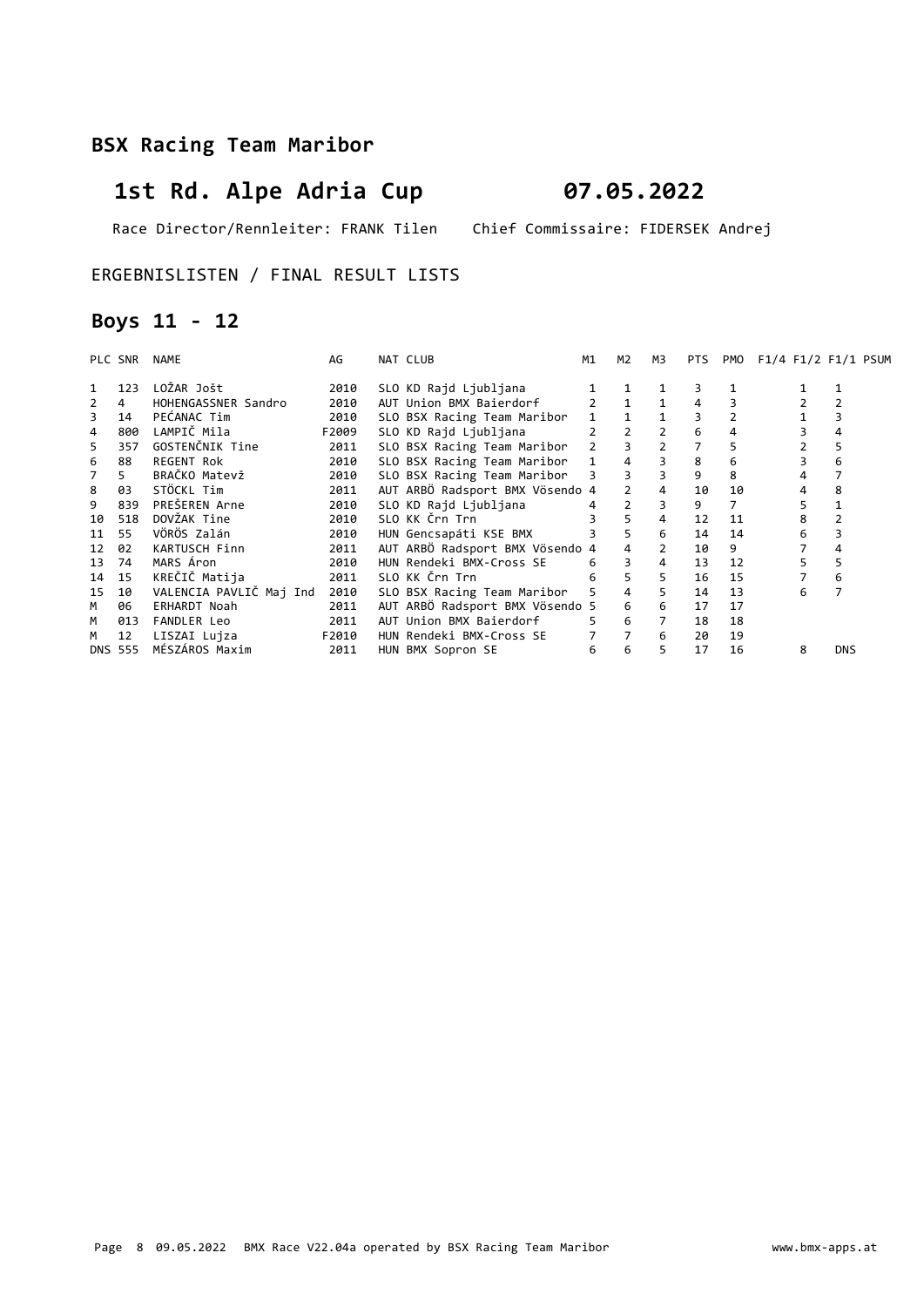# 1st Rd. Alpe Adria Cup 07.05.2022

Race Director/Rennleiter: FRANK Tilen Chief Commissaire: FIDERSEK Andrej

#### ERGEBNISLISTEN / FINAL RESULT LISTS

### Boys 11 - 12

|    | PLC SNR        | NAME                    | AG    | NAT CLUB                        | M1          | M2             | M3                       | PTS | PMO | $F1/4$ $F1/2$ $F1/1$ $PSUM$ |            |
|----|----------------|-------------------------|-------|---------------------------------|-------------|----------------|--------------------------|-----|-----|-----------------------------|------------|
| 1  | 123            | LOŽAR Jošt              | 2010  | SLO KD Rajd Ljubljana           |             |                |                          |     |     |                             |            |
| 2  | 4              | HOHENGASSNER Sandro     | 2010  | AUT Union BMX Baierdorf         |             |                |                          |     |     |                             |            |
| 3  | 14             | PEĆANAC Tim             | 2010  | SLO BSX Racing Team Maribor     |             |                |                          |     |     |                             |            |
| 4  | 800            | LAMPIČ Mila             | F2009 | SLO KD Rajd Ljubljana           |             | $\overline{2}$ | $\overline{\phantom{a}}$ | 6   | 4   |                             |            |
| 5  | 357            | GOSTENČNIK Tine         | 2011  | SLO BSX Racing Team Maribor     | $2^{\circ}$ |                | $\overline{2}$           |     | 5   |                             | 5          |
| 6  | 88             | <b>REGENT Rok</b>       | 2010  | SLO BSX Racing Team Maribor     | $1 \quad$   | $\overline{4}$ | 3                        | 8   | 6   |                             | 6          |
| 7  | 5.             | BRAČKO Matevž           | 2010  | SLO BSX Racing Team Maribor 3   |             | 3              | 3                        | 9   | 8   |                             |            |
| 8  | 03             | STÖCKL Tim              | 2011  | AUT ARBÖ Radsport BMX Vösendo 4 |             | $\overline{2}$ |                          | 10  | 10  |                             | 8          |
| 9  | 839            | PREŠEREN Arne           | 2010  | SLO KD Raid Liubliana           | 4           | 2              | 3                        | 9   |     | 5.                          |            |
| 10 | 518            | DOVŽAK Tine             | 2010  | SLO KK Črn Trn                  |             | 5              | 4                        | 12  | 11  | 8                           |            |
| 11 | 55             | VÖRÖS Zalán             | 2010  | HUN Gencsapáti KSE BMX          |             | 5              | 6                        | 14  | 14  | 6                           |            |
| 12 | 02             | KARTUSCH Finn           | 2011  | AUT ARBÖ Radsport BMX Vösendo 4 |             |                | $\overline{2}$           | 10  | 9   |                             |            |
| 13 | 74             | MARS Áron               | 2010  | HUN Rendeki BMX-Cross SE        | 6           | $\overline{3}$ | 4                        | 13  | 12  |                             | 5.         |
| 14 | 15             | KREČIČ Matija           | 2011  | SLO KK Črn Trn                  | 6           | $5^{\circ}$    | 5                        | 16  | 15  |                             | 6          |
| 15 | 10             | VALENCIA PAVLIČ Maj Ind | 2010  | SLO BSX Racing Team Maribor     | 5           | $\overline{4}$ | 5                        | 14  | 13  | 6                           |            |
| M  | 06             | <b>ERHARDT Noah</b>     | 2011  | AUT ARBÖ Radsport BMX Vösendo 5 |             | 6              | 6                        | 17  | 17  |                             |            |
| M  | 013            | FANDLER Leo             | 2011  | AUT Union BMX Baierdorf         |             | 6              | $7^{\circ}$              | 18  | 18  |                             |            |
| М  | 12             | LISZAI Lujza            | F2010 | HUN Rendeki BMX-Cross SE        |             | 7              | 6                        | 20  | 19  |                             |            |
|    | <b>DNS 555</b> | MÉSZÁROS Maxim          | 2011  | HUN BMX Sopron SE               | 6           | 6              | 5                        | 17  | 16  | 8                           | <b>DNS</b> |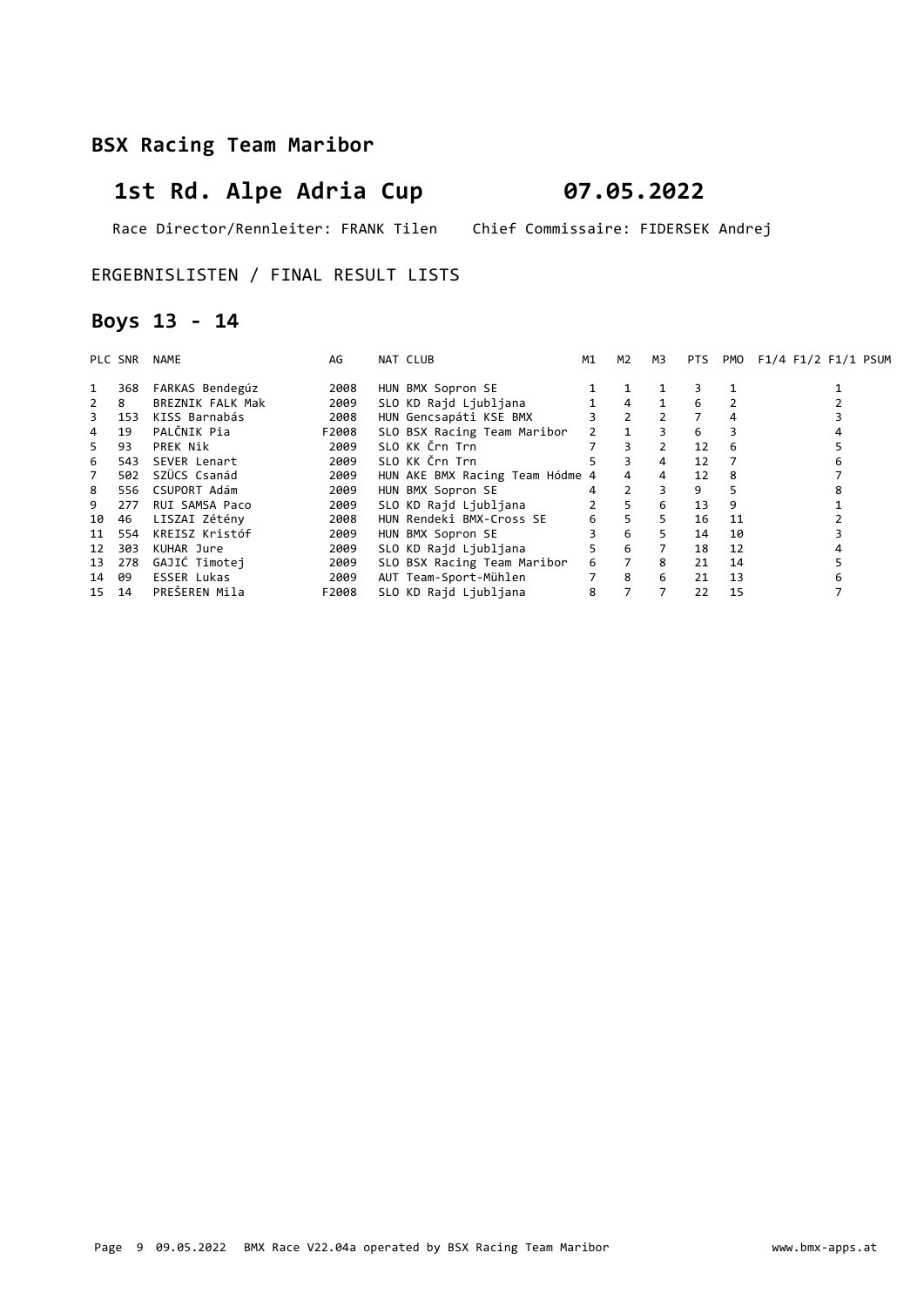# 1st Rd. Alpe Adria Cup 07.05.2022

Race Director/Rennleiter: FRANK Tilen Chief Commissaire: FIDERSEK Andrej

#### ERGEBNISLISTEN / FINAL RESULT LISTS

### Boys 13 - 14

|              | PLC SNR | <b>NAME</b>        | AG    | NAT CLUB                        | M1 | M2                  | M3             | PTS | PMO | F1/4 F1/2 F1/1 PSUM |
|--------------|---------|--------------------|-------|---------------------------------|----|---------------------|----------------|-----|-----|---------------------|
|              | 368     | FARKAS Bendegúz    | 2008  | HUN BMX Sopron SE               |    |                     |                |     |     |                     |
| $\mathbf{2}$ | 8       | BREZNIK FALK Mak   | 2009  | SLO KD Rajd Ljubljana           |    | $\overline{4}$      | $\mathbf{1}$   | 6   |     |                     |
| 3            | 153     | KISS Barnabás      | 2008  | HUN Gencsapáti KSE BMX          |    | $3 \t2 \t2$         |                |     | 4   |                     |
| 4            | 19      | PALČNIK Pia        | F2008 | SLO BSX Racing Team Maribor     |    | $2 \quad 1 \quad 3$ |                | 6   |     |                     |
| 5.           | 93      | PREK Nik           | 2009  | SLO KK Črn Trn                  |    | 3                   | $\overline{2}$ | 12  | 6   |                     |
| 6            | 543     | SEVER Lenart       | 2009  | SLO KK Črn Trn                  | 5  | 3                   | 4              | 12  |     |                     |
| 7            | 502     | SZÜCS Csanád       | 2009  | HUN AKE BMX Racing Team Hódme 4 |    | $\overline{4}$      | $\overline{4}$ | 12  | 8   |                     |
| 8            | 556     | CSUPORT Adám       | 2009  | HUN BMX Sopron SE               |    | $\overline{2}$      | 3              | 9   |     |                     |
| 9            | 277     | RUI SAMSA Paco     | 2009  | SLO KD Rajd Ljubljana           |    | 5                   | 6              | 13  | 9   |                     |
| 10           | 46      | LISZAI Zétény      | 2008  | HUN Rendeki BMX-Cross SE        | 6  | 5                   | 5              | 16  | 11  |                     |
| 11           | 554     | KREISZ Kristóf     | 2009  | HUN BMX Sopron SE               |    | 6                   | 5.             | 14  | 10  |                     |
| 12           | 303     | KUHAR Jure         | 2009  | SLO KD Rajd Ljubljana           | 5  | 6                   | $7^{\circ}$    | 18  | 12  |                     |
|              | 13 278  | GAJIĆ Timotej      | 2009  | SLO BSX Racing Team Maribor     | 6  | $\overline{7}$      | 8              | 21  | 14  |                     |
| 14 09        |         | <b>ESSER Lukas</b> | 2009  | AUT Team-Sport-Mühlen           |    | 8                   | 6              | 21  | 13  |                     |
| 15 14        |         | PREŠEREN Mila      | F2008 | SLO KD Raid Liubliana           | 8  |                     |                | 22  | 15  |                     |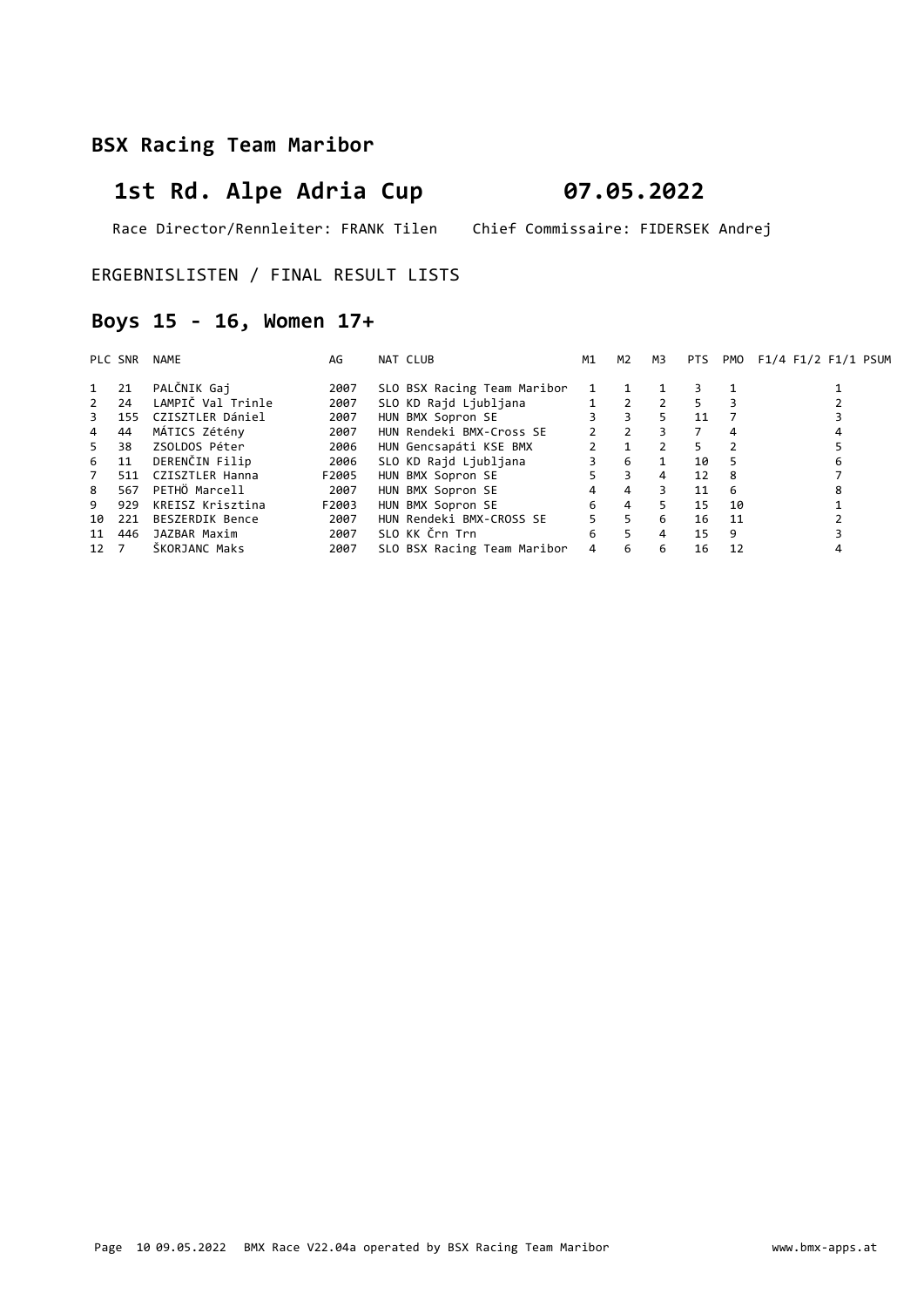# 1st Rd. Alpe Adria Cup 07.05.2022

Race Director/Rennleiter: FRANK Tilen Chief Commissaire: FIDERSEK Andrej

#### ERGEBNISLISTEN / FINAL RESULT LISTS

### Boys 15 - 16, Women 17+

|                | PLC SNR | NAME              | AG    | NAT CLUB                    | M1            | M2             | мз                      | PTS |    | PMO F1/4 F1/2 F1/1 PSUM |
|----------------|---------|-------------------|-------|-----------------------------|---------------|----------------|-------------------------|-----|----|-------------------------|
| 1              | 21      | PALČNIK Gaj       | 2007  | SLO BSX Racing Team Maribor | 1             |                |                         |     |    |                         |
| $\overline{2}$ | 24      | LAMPIČ Val Trinle | 2007  | SLO KD Rajd Ljubljana       |               | $\sim$ 2       |                         | 5.  | 3  |                         |
| 3              | 155     | CZISZTLER Dániel  | 2007  | HUN BMX Sopron SE           | 3             | $\overline{3}$ | 5.                      | 11  |    |                         |
| $\overline{4}$ | 44      | MÁTICS Zétény     | 2007  | HUN Rendeki BMX-Cross SE    | $\mathcal{P}$ | $\overline{2}$ | $\overline{\mathbf{3}}$ | 7   | 4  |                         |
| 5              | 38      | ZSOLDOS Péter     | 2006  | HUN Gencsapáti KSE BMX      |               |                |                         | 5.  |    |                         |
| 6              | 11      | DERENČIN Filip    | 2006  | SLO KD Rajd Ljubljana       |               | 6              |                         | 10  | 5  |                         |
| $\overline{7}$ | 511     | CZISZTLER Hanna   | F2005 | HUN BMX Sopron SE           | 5.            | $\overline{3}$ | $\overline{4}$          | 12  | -8 |                         |
| 8              | 567     | PETHÖ Marcell     | 2007  | HUN BMX Sopron SE           | 4             | $\overline{4}$ | 3                       | 11  | -6 | 8                       |
| 9              | 929     | KREISZ Krisztina  | F2003 | HUN BMX Sopron SE           | 6             | $\overline{4}$ | 5.                      | 15  | 10 |                         |
| 10             | 221     | BESZERDIK Bence   | 2007  | HUN Rendeki BMX-CROSS SE    | 5.            | 5              | 6                       | 16  | 11 |                         |
| 11             | 446     | JAZBAR Maxim      | 2007  | SLO KK Črn Trn              | 6             | 5 <sup>1</sup> | $\overline{4}$          | 15  | 9  |                         |
| 12             |         | ŠKORJANC Maks     | 2007  | SLO BSX Racing Team Maribor | 4             | 6              | 6                       | 16  | 12 |                         |